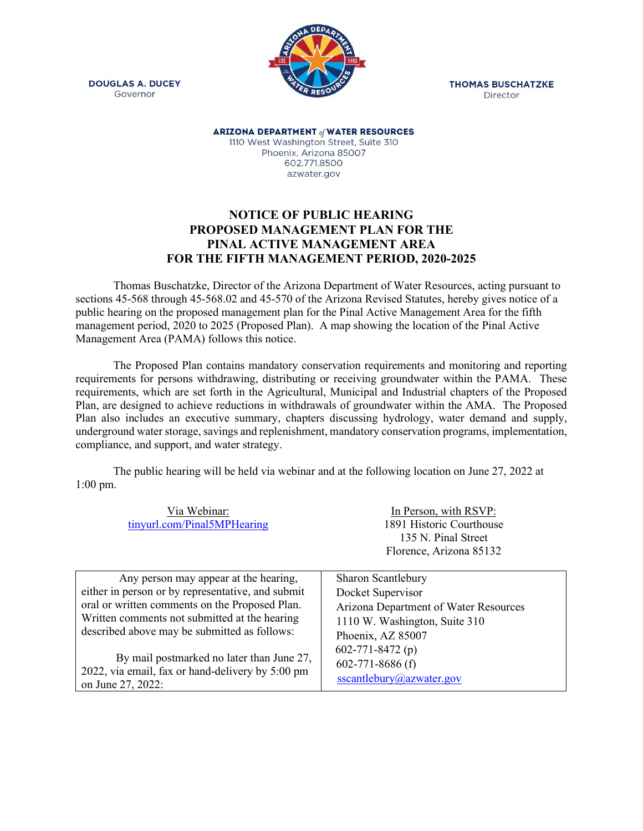



**THOMAS BUSCHATZKE** Director

**ARIZONA DEPARTMENT of WATER RESOURCES** 1110 West Washington Street, Suite 310 Phoenix, Arizona 85007 602.771.8500 azwater.gov

## **NOTICE OF PUBLIC HEARING PROPOSED MANAGEMENT PLAN FOR THE PINAL ACTIVE MANAGEMENT AREA FOR THE FIFTH MANAGEMENT PERIOD, 2020-2025**

Thomas Buschatzke, Director of the Arizona Department of Water Resources, acting pursuant to sections 45-568 through 45-568.02 and 45-570 of the Arizona Revised Statutes, hereby gives notice of a public hearing on the proposed management plan for the Pinal Active Management Area for the fifth management period, 2020 to 2025 (Proposed Plan). A map showing the location of the Pinal Active Management Area (PAMA) follows this notice.

The Proposed Plan contains mandatory conservation requirements and monitoring and reporting requirements for persons withdrawing, distributing or receiving groundwater within the PAMA. These requirements, which are set forth in the Agricultural, Municipal and Industrial chapters of the Proposed Plan, are designed to achieve reductions in withdrawals of groundwater within the AMA. The Proposed Plan also includes an executive summary, chapters discussing hydrology, water demand and supply, underground water storage, savings and replenishment, mandatory conservation programs, implementation, compliance, and support, and water strategy.

The public hearing will be held via webinar and at the following location on June 27, 2022 at 1:00 pm.

| Via Webinar:<br>tinyurl.com/Pinal5MPHearing       | In Person, with RSVP:<br>1891 Historic Courthouse<br>135 N. Pinal Street<br>Florence, Arizona 85132 |
|---------------------------------------------------|-----------------------------------------------------------------------------------------------------|
| Any person may appear at the hearing,             | Sharon Scantlebury                                                                                  |
| either in person or by representative, and submit | Docket Supervisor                                                                                   |
| oral or written comments on the Proposed Plan.    | Arizona Department of Water Resources                                                               |
| Written comments not submitted at the hearing     | 1110 W. Washington, Suite 310                                                                       |
| described above may be submitted as follows:      | Phoenix, AZ 85007                                                                                   |
| By mail postmarked no later than June 27,         | $602 - 771 - 8472(p)$                                                                               |
| 2022, via email, fax or hand-delivery by 5:00 pm  | $602 - 771 - 8686$ (f)                                                                              |
| on June 27, 2022:                                 | sscantlebury@azwater.gov                                                                            |